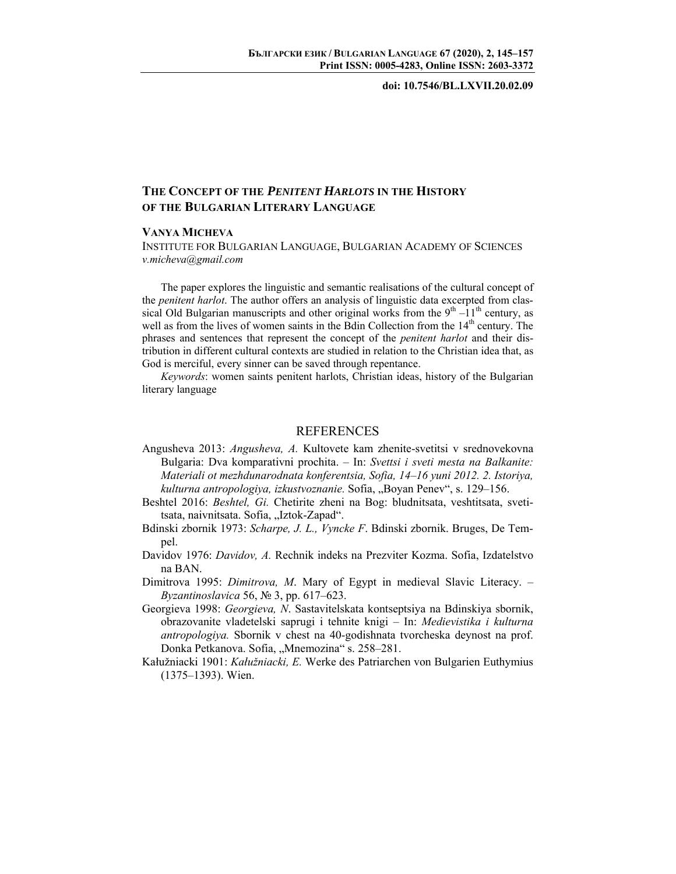**doi: 10.7546/BL.LXVII.20.02.09** 

## **THE CONCEPT OF THE** *PENITENT HARLOTS* **IN THE HISTORY OF THE BULGARIAN LITERARY LANGUAGE**

## **VANYA MICHEVA**

INSTITUTE FOR BULGARIAN LANGUAGE, BULGARIAN ACADEMY OF SCIENCES *v.micheva@gmail.com* 

The paper explores the linguistic and semantic realisations of the cultural concept of the *penitent harlot*. The author offers an analysis of linguistic data excerpted from classical Old Bulgarian manuscripts and other original works from the  $9<sup>th</sup> -11<sup>th</sup>$  century, as well as from the lives of women saints in the Bdin Collection from the  $14<sup>th</sup>$  century. The phrases and sentences that represent the concept of the *penitent harlot* and their distribution in different cultural contexts are studied in relation to the Christian idea that, as God is merciful, every sinner can be saved through repentance.

*Keywords*: women saints penitent harlots, Christian ideas, history of the Bulgarian literary language

## REFERENCES

- Angusheva 2013: *Angusheva, A.* Kultovete kam zhenite-svetitsi v srednovekovna Bulgaria: Dva komparativni prochita. – In: *Svettsi i sveti mesta na Balkanite: Materiali ot mezhdunarodnata konferentsia, Sofia, 14–16 yuni 2012. 2. Istoriya, kulturna antropologiya, izkustvoznanie.* Sofia, "Boyan Penev", s. 129–156.
- Beshtel 2016: *Beshtel, Gi.* Chetirite zheni na Bog: bludnitsata, veshtitsata, svetitsata, naivnitsata. Sofia, "Iztok-Zapad".
- Bdinski zbornik 1973: *Scharpe, J. L., Vyncke F*. Bdinski zbornik. Bruges, De Tempel.
- Davidov 1976: *Davidov, A.* Rechnik indeks na Prezviter Kozma. Sofia, Izdatelstvo na BAN.
- Dimitrova 1995: *Dimitrova, M*. Mary of Egypt in medieval Slavic Literacy. *Byzantinoslavica* 56, № 3, pp. 617–623.
- Georgieva 1998: *Georgieva, N*. Sastavitelskata kontseptsiya na Bdinskiya sbornik, obrazovanite vladetelski saprugi i tehnite knigi – In: *Medievistika i kulturna antropologiya.* Sbornik v chest na 40-godishnata tvorcheska deynost na prof. Donka Petkanova. Sofia, "Mnemozina" s. 258-281.
- Kałužniacki 1901: *Kałužniacki, E.* Werke des Patriarchen von Bulgarien Euthymius (1375–1393). Wien.